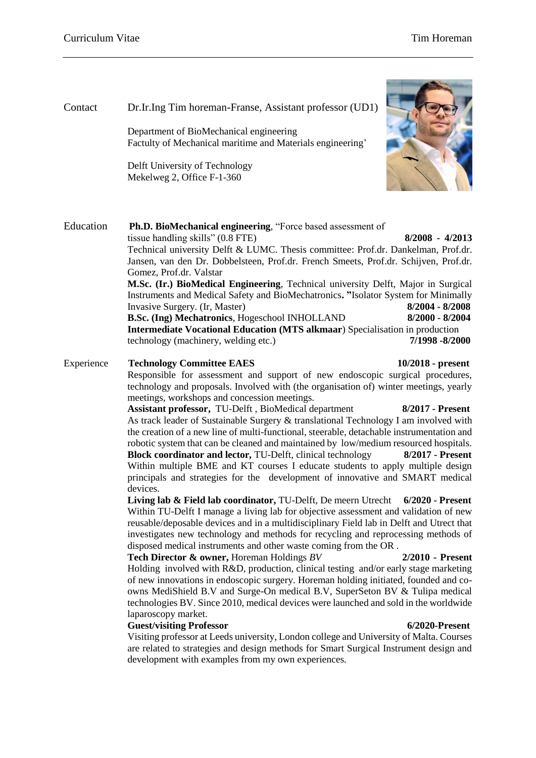# Contact Dr.Ir.Ing Tim horeman-Franse, Assistant professor (UD1)

Education **Ph.D. BioMechanical engineering**, "Force based assessment of tissue handling skills" (0.8 FTE) **8/2008 - 4/2013** Technical university Delft & LUMC. Thesis committee: Prof.dr. Dankelman, Prof.dr. Jansen, van den Dr. Dobbelsteen, Prof.dr. French Smeets, Prof.dr. Schijven, Prof.dr. Gomez, Prof.dr. Valstar **M.Sc. (Ir.) BioMedical Engineering**, Technical university Delft, Major in Surgical Instruments and Medical Safety and BioMechatronics**. "**Isolator System for Minimally Invasive Surgery. (Ir, Master) **8/2004 - 8/2008 B.Sc. (Ing) Mechatronics**, Hogeschool INHOLLAND **8/2000 - 8/2004 Intermediate Vocational Education (MTS alkmaar**) Specialisation in production technology (machinery, welding etc.) **7/1998 -8/2000**

Department of BioMechanical engineering

Delft University of Technology Mekelweg 2, Office F-1-360

Factulty of Mechanical maritime and Materials engineering'

Experience **Technology Committee EAES 10/2018 - present** Responsible for assessment and support of new endoscopic surgical procedures, technology and proposals. Involved with (the organisation of) winter meetings, yearly meetings, workshops and concession meetings.

> **Assistant professor,** TU-Delft , BioMedical department **8/2017 - Present** As track leader of Sustainable Surgery & translational Technology I am involved with the creation of a new line of multi-functional, steerable, detachable instrumentation and robotic system that can be cleaned and maintained by low/medium resourced hospitals. **Block coordinator and lector***,* TU-Delft, clinical technology **8/2017 - Present** Within multiple BME and KT courses I educate students to apply multiple design principals and strategies for the development of innovative and SMART medical devices.

> **Living lab & Field lab coordinator,** TU-Delft, De meern Utrecht **6/2020 - Present** Within TU-Delft I manage a living lab for objective assessment and validation of new reusable/deposable devices and in a multidisciplinary Field lab in Delft and Utrect that investigates new technology and methods for recycling and reprocessing methods of disposed medical instruments and other waste coming from the OR .

> **Tech Director & owner,** Horeman Holdings *BV* **2/2010 - Present** Holding involved with R&D, production, clinical testing and/or early stage marketing of new innovations in endoscopic surgery. Horeman holding initiated, founded and coowns MediShield B.V and Surge-On medical B.V, SuperSeton BV & Tulipa medical technologies BV. Since 2010, medical devices were launched and sold in the worldwide laparoscopy market.

#### **Guest/visiting Professor 6/2020-Present**

Visiting professor at Leeds university, London college and University of Malta. Courses are related to strategies and design methods for Smart Surgical Instrument design and development with examples from my own experiences.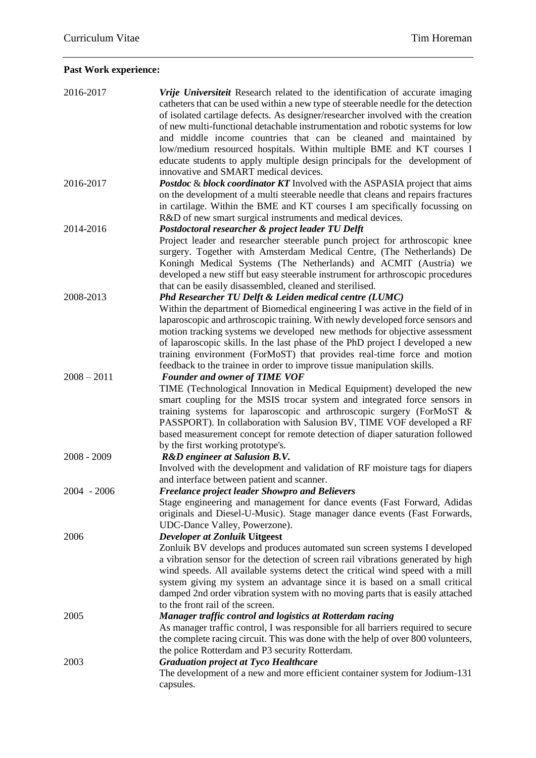# **Past Work experience:**

| 2016-2017     | Vrije Universiteit Research related to the identification of accurate imaging<br>catheters that can be used within a new type of steerable needle for the detection<br>of isolated cartilage defects. As designer/researcher involved with the creation<br>of new multi-functional detachable instrumentation and robotic systems for low<br>and middle income countries that can be cleaned and maintained by<br>low/medium resourced hospitals. Within multiple BME and KT courses I<br>educate students to apply multiple design principals for the development of |
|---------------|-----------------------------------------------------------------------------------------------------------------------------------------------------------------------------------------------------------------------------------------------------------------------------------------------------------------------------------------------------------------------------------------------------------------------------------------------------------------------------------------------------------------------------------------------------------------------|
| 2016-2017     | innovative and SMART medical devices.<br><b>Postdoc &amp; block coordinator KT</b> Involved with the ASPASIA project that aims<br>on the development of a multi steerable needle that cleans and repairs fractures                                                                                                                                                                                                                                                                                                                                                    |
|               | in cartilage. Within the BME and KT courses I am specifically focussing on<br>R&D of new smart surgical instruments and medical devices.                                                                                                                                                                                                                                                                                                                                                                                                                              |
| 2014-2016     | Postdoctoral researcher & project leader TU Delft<br>Project leader and researcher steerable punch project for arthroscopic knee<br>surgery. Together with Amsterdam Medical Centre, (The Netherlands) De<br>Koningh Medical Systems (The Netherlands) and ACMIT (Austria) we<br>developed a new stiff but easy steerable instrument for arthroscopic procedures<br>that can be easily disassembled, cleaned and sterilised.                                                                                                                                          |
| 2008-2013     | Phd Researcher TU Delft & Leiden medical centre (LUMC)<br>Within the department of Biomedical engineering I was active in the field of in<br>laparoscopic and arthroscopic training. With newly developed force sensors and<br>motion tracking systems we developed new methods for objective assessment<br>of laparoscopic skills. In the last phase of the PhD project I developed a new<br>training environment (ForMoST) that provides real-time force and motion<br>feedback to the trainee in order to improve tissue manipulation skills.                      |
| $2008 - 2011$ | <b>Founder and owner of TIME VOF</b><br>TIME (Technological Innovation in Medical Equipment) developed the new<br>smart coupling for the MSIS trocar system and integrated force sensors in<br>training systems for laparoscopic and arthroscopic surgery (ForMoST &<br>PASSPORT). In collaboration with Salusion BV, TIME VOF developed a RF<br>based measurement concept for remote detection of diaper saturation followed<br>by the first working prototype's.                                                                                                    |
| $2008 - 2009$ | R&D engineer at Salusion B.V.<br>Involved with the development and validation of RF moisture tags for diapers<br>and interface between patient and scanner.                                                                                                                                                                                                                                                                                                                                                                                                           |
| $2004 - 2006$ | <b>Freelance project leader Showpro and Believers</b><br>Stage engineering and management for dance events (Fast Forward, Adidas<br>originals and Diesel-U-Music). Stage manager dance events (Fast Forwards,<br>UDC-Dance Valley, Powerzone).                                                                                                                                                                                                                                                                                                                        |
| 2006          | <b>Developer at Zonluik Uitgeest</b><br>Zonluik BV develops and produces automated sun screen systems I developed<br>a vibration sensor for the detection of screen rail vibrations generated by high<br>wind speeds. All available systems detect the critical wind speed with a mill<br>system giving my system an advantage since it is based on a small critical<br>damped 2nd order vibration system with no moving parts that is easily attached<br>to the front rail of the screen.                                                                            |
| 2005          | Manager traffic control and logistics at Rotterdam racing<br>As manager traffic control, I was responsible for all barriers required to secure<br>the complete racing circuit. This was done with the help of over 800 volunteers,<br>the police Rotterdam and P3 security Rotterdam.                                                                                                                                                                                                                                                                                 |
| 2003          | <b>Graduation project at Tyco Healthcare</b><br>The development of a new and more efficient container system for Jodium-131<br>capsules.                                                                                                                                                                                                                                                                                                                                                                                                                              |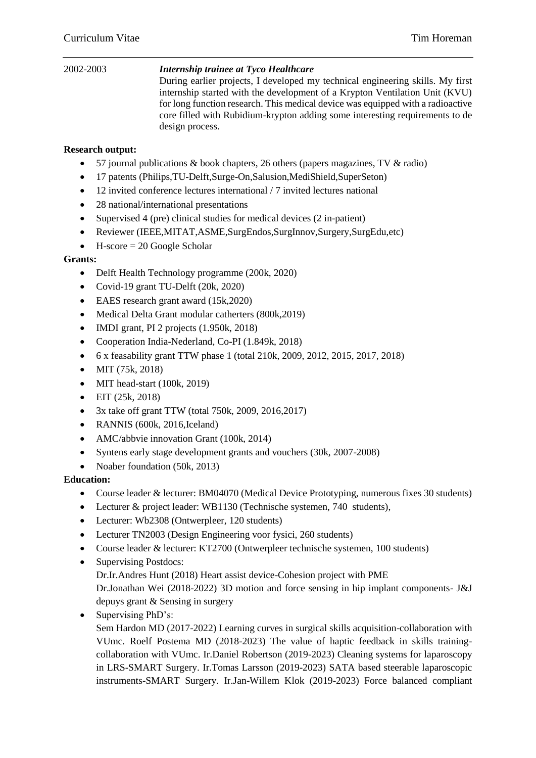#### 2002-2003 *Internship trainee at Tyco Healthcare* During earlier projects, I developed my technical engineering skills. My first internship started with the development of a Krypton Ventilation Unit (KVU) for long function research. This medical device was equipped with a radioactive core filled with Rubidium-krypton adding some interesting requirements to de design process.

### **Research output:**

- 57 journal publications & book chapters, 26 others (papers magazines, TV & radio)
- 17 patents (Philips, TU-Delft, Surge-On, Salusion, Medi Shield, SuperSeton)
- 12 invited conference lectures international / 7 invited lectures national
- 28 national/international presentations
- Supervised 4 (pre) clinical studies for medical devices  $(2 \text{ in-patient})$
- Reviewer (IEEE,MITAT,ASME,SurgEndos,SurgInnov,Surgery,SurgEdu,etc)
- $\bullet$  H-score = 20 Google Scholar

#### **Grants:**

- Delft Health Technology programme (200k, 2020)
- Covid-19 grant TU-Delft (20k, 2020)
- EAES research grant award (15k, 2020)
- Medical Delta Grant modular catherters (800k, 2019)
- $\bullet$  IMDI grant, PI 2 projects  $(1.950k, 2018)$
- Cooperation India-Nederland, Co-PI (1.849k, 2018)
- 6 x feasability grant TTW phase 1 (total 210k, 2009, 2012, 2015, 2017, 2018)
- MIT  $(75k, 2018)$
- MIT head-start (100k, 2019)
- $\bullet$  EIT (25k, 2018)
- $\bullet$  3x take off grant TTW (total 750k, 2009, 2016, 2017)
- RANNIS (600k, 2016, Iceland)
- AMC/abbvie innovation Grant (100k, 2014)
- Syntens early stage development grants and vouchers (30k, 2007-2008)
- Noaber foundation (50k, 2013)

#### **Education:**

- Course leader & lecturer: BM04070 (Medical Device Prototyping, numerous fixes 30 students)
- Lecturer & project leader: WB1130 (Technische systemen, 740 students),
- Lecturer: Wb2308 (Ontwerpleer, 120 students)
- Lecturer TN2003 (Design Engineering voor fysici, 260 students)
- Course leader & lecturer: KT2700 (Ontwerpleer technische systemen, 100 students)
- Supervising Postdocs: Dr.Ir.Andres Hunt (2018) Heart assist device-Cohesion project with PME Dr.Jonathan Wei (2018-2022) 3D motion and force sensing in hip implant components- J&J depuys grant & Sensing in surgery
- Supervising PhD's:

Sem Hardon MD (2017-2022) Learning curves in surgical skills acquisition-collaboration with VUmc. Roelf Postema MD (2018-2023) The value of haptic feedback in skills trainingcollaboration with VUmc. Ir.Daniel Robertson (2019-2023) Cleaning systems for laparoscopy in LRS-SMART Surgery. Ir.Tomas Larsson (2019-2023) SATA based steerable laparoscopic instruments-SMART Surgery. Ir.Jan-Willem Klok (2019-2023) Force balanced compliant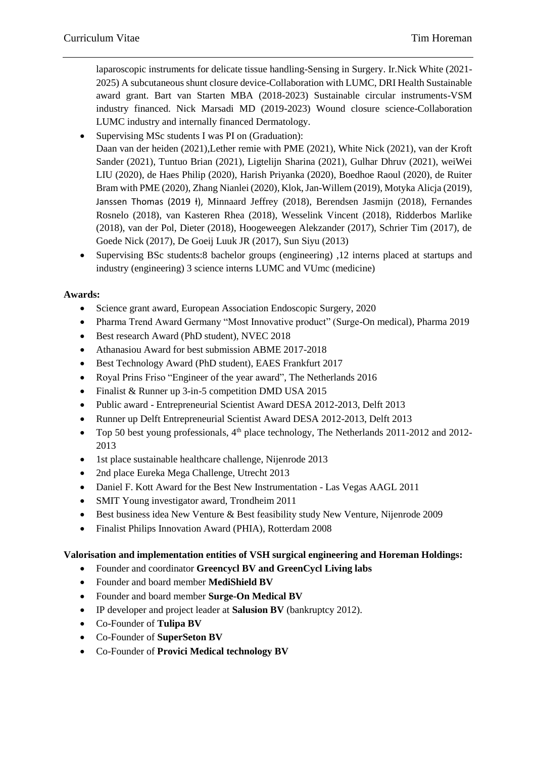laparoscopic instruments for delicate tissue handling-Sensing in Surgery. Ir.Nick White (2021- 2025) A subcutaneous shunt closure device-Collaboration with LUMC, DRI Health Sustainable award grant. Bart van Starten MBA (2018-2023) Sustainable circular instruments-VSM industry financed. Nick Marsadi MD (2019-2023) Wound closure science-Collaboration LUMC industry and internally financed Dermatology.

- Supervising MSc students I was PI on (Graduation): Daan van der heiden (2021),Lether remie with PME (2021), White Nick (2021), van der Kroft Sander (2021), Tuntuo Brian (2021), Ligtelijn Sharina (2021), Gulhar Dhruv (2021), weiWei LIU (2020), de Haes Philip (2020), Harish Priyanka (2020), Boedhoe Raoul (2020), de Ruiter Bram with PME (2020), Zhang Nianlei (2020), Klok, Jan-Willem (2019), Motyka Alicja (2019), Janssen Thomas (2019 ł), Minnaard Jeffrey (2018), Berendsen Jasmijn (2018), Fernandes Rosnelo (2018), van Kasteren Rhea (2018), Wesselink Vincent (2018), Ridderbos Marlike (2018), van der Pol, Dieter (2018), Hoogeweegen Alekzander (2017), Schrier Tim (2017), de Goede Nick (2017), De Goeij Luuk JR (2017), Sun Siyu (2013)
- Supervising BSc students:8 bachelor groups (engineering) ,12 interns placed at startups and industry (engineering) 3 science interns LUMC and VUmc (medicine)

### **Awards:**

- Science grant award, European Association Endoscopic Surgery, 2020
- Pharma Trend Award Germany "Most Innovative product" (Surge-On medical), Pharma 2019
- Best research Award (PhD student), NVEC 2018
- Athanasiou Award for best submission ABME 2017-2018
- Best Technology Award (PhD student), EAES Frankfurt 2017
- Royal Prins Friso "Engineer of the year award", The Netherlands 2016
- Finalist & Runner up 3-in-5 competition DMD USA 2015
- Public award Entrepreneurial Scientist Award DESA 2012-2013, Delft 2013
- Runner up Delft Entrepreneurial Scientist Award DESA 2012-2013, Delft 2013
- Top 50 best young professionals,  $4<sup>th</sup>$  place technology, The Netherlands 2011-2012 and 2012-2013
- 1st place sustainable healthcare challenge, Nijenrode 2013
- 2nd place Eureka Mega Challenge, Utrecht 2013
- Daniel F. Kott Award for the Best New Instrumentation Las Vegas AAGL 2011
- SMIT Young investigator award, Trondheim 2011
- Best business idea New Venture & Best feasibility study New Venture, Nijenrode 2009
- Finalist Philips Innovation Award (PHIA), Rotterdam 2008

#### **Valorisation and implementation entities of VSH surgical engineering and Horeman Holdings:**

- Founder and coordinator **Greencycl BV and GreenCycl Living labs**
- Founder and board member **MediShield BV**
- Founder and board member **Surge-On Medical BV**
- IP developer and project leader at **Salusion BV** (bankruptcy 2012).
- Co-Founder of **Tulipa BV**
- Co-Founder of **SuperSeton BV**
- Co-Founder of **Provici Medical technology BV**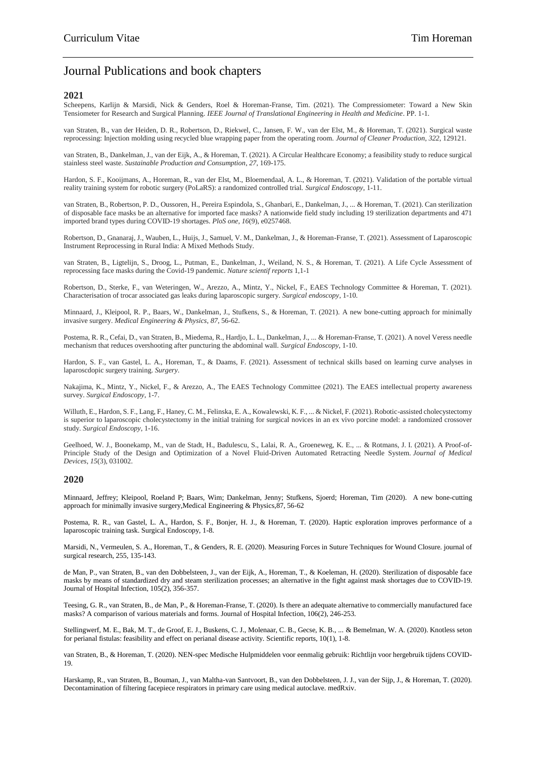## Journal Publications and book chapters

#### **2021**

Scheepens, Karlijn & Marsidi, Nick & Genders, Roel & Horeman-Franse, Tim. (2021). The Compressiometer: Toward a New Skin Tensiometer for Research and Surgical Planning. *IEEE Journal of Translational Engineering in Health and Medicine*. PP. 1-1.

van Straten, B., van der Heiden, D. R., Robertson, D., Riekwel, C., Jansen, F. W., van der Elst, M., & Horeman, T. (2021). Surgical waste reprocessing: Injection molding using recycled blue wrapping paper from the operating room. *Journal of Cleaner Production*, *322*, 129121.

van Straten, B., Dankelman, J., van der Eijk, A., & Horeman, T. (2021). A Circular Healthcare Economy; a feasibility study to reduce surgical stainless steel waste. *Sustainable Production and Consumption*, *27*, 169-175.

Hardon, S. F., Kooijmans, A., Horeman, R., van der Elst, M., Bloemendaal, A. L., & Horeman, T. (2021). Validation of the portable virtual reality training system for robotic surgery (PoLaRS): a randomized controlled trial. *Surgical Endoscopy*, 1-11.

van Straten, B., Robertson, P. D., Oussoren, H., Pereira Espindola, S., Ghanbari, E., Dankelman, J., ... & Horeman, T. (2021). Can sterilization of disposable face masks be an alternative for imported face masks? A nationwide field study including 19 sterilization departments and 471 imported brand types during COVID-19 shortages. *PloS one*, *16*(9), e0257468.

Robertson, D., Gnanaraj, J., Wauben, L., Huijs, J., Samuel, V. M., Dankelman, J., & Horeman-Franse, T. (2021). Assessment of Laparoscopic Instrument Reprocessing in Rural India: A Mixed Methods Study.

van Straten, B., Ligtelijn, S., Droog, L., Putman, E., Dankelman, J., Weiland, N. S., & Horeman, T. (2021). A Life Cycle Assessment of reprocessing face masks during the Covid-19 pandemic. *Nature scientif reports* 1,1-1

Robertson, D., Sterke, F., van Weteringen, W., Arezzo, A., Mintz, Y., Nickel, F., EAES Technology Committee & Horeman, T. (2021). Characterisation of trocar associated gas leaks during laparoscopic surgery. *Surgical endoscopy*, 1-10.

Minnaard, J., Kleipool, R. P., Baars, W., Dankelman, J., Stufkens, S., & Horeman, T. (2021). A new bone-cutting approach for minimally invasive surgery. *Medical Engineering & Physics*, *87*, 56-62.

Postema, R. R., Cefai, D., van Straten, B., Miedema, R., Hardjo, L. L., Dankelman, J., ... & Horeman-Franse, T. (2021). A novel Veress needle mechanism that reduces overshooting after puncturing the abdominal wall. *Surgical Endoscopy*, 1-10.

Hardon, S. F., van Gastel, L. A., Horeman, T., & Daams, F. (2021). Assessment of technical skills based on learning curve analyses in laparoscdopic surgery training. *Surgery*.

Nakajima, K., Mintz, Y., Nickel, F., & Arezzo, A., The EAES Technology Committee (2021). The EAES intellectual property awareness survey. *Surgical Endoscopy*, 1-7.

Willuth, E., Hardon, S. F., Lang, F., Haney, C. M., Felinska, E. A., Kowalewski, K. F., ... & Nickel, F. (2021). Robotic-assisted cholecystectomy is superior to laparoscopic cholecystectomy in the initial training for surgical novices in an ex vivo porcine model: a randomized crossover study. *Surgical Endoscopy*, 1-16.

Geelhoed, W. J., Boonekamp, M., van de Stadt, H., Badulescu, S., Lalai, R. A., Groeneweg, K. E., ... & Rotmans, J. I. (2021). A Proof-of-Principle Study of the Design and Optimization of a Novel Fluid-Driven Automated Retracting Needle System. *Journal of Medical Devices*, *15*(3), 031002.

#### **2020**

Minnaard, Jeffrey; Kleipool, Roeland P; Baars, Wim; Dankelman, Jenny; Stufkens, Sjoerd; Horeman, Tim (2020). A new bone-cutting approach for minimally invasive surgery,Medical Engineering & Physics,87, 56-62

Postema, R. R., van Gastel, L. A., Hardon, S. F., Bonjer, H. J., & Horeman, T. (2020). Haptic exploration improves performance of a laparoscopic training task. Surgical Endoscopy, 1-8.

Marsidi, N., Vermeulen, S. A., Horeman, T., & Genders, R. E. (2020). Measuring Forces in Suture Techniques for Wound Closure. journal of surgical research, 255, 135-143.

de Man, P., van Straten, B., van den Dobbelsteen, J., van der Eijk, A., Horeman, T., & Koeleman, H. (2020). Sterilization of disposable face masks by means of standardized dry and steam sterilization processes; an alternative in the fight against mask shortages due to COVID-19. Journal of Hospital Infection, 105(2), 356-357.

Teesing, G. R., van Straten, B., de Man, P., & Horeman-Franse, T. (2020). Is there an adequate alternative to commercially manufactured face masks? A comparison of various materials and forms. Journal of Hospital Infection, 106(2), 246-253.

Stellingwerf, M. E., Bak, M. T., de Groof, E. J., Buskens, C. J., Molenaar, C. B., Gecse, K. B., ... & Bemelman, W. A. (2020). Knotless seton for perianal fistulas: feasibility and effect on perianal disease activity. Scientific reports, 10(1), 1-8.

van Straten, B., & Horeman, T. (2020). NEN-spec Medische Hulpmiddelen voor eenmalig gebruik: Richtlijn voor hergebruik tijdens COVID-19.

Harskamp, R., van Straten, B., Bouman, J., van Maltha-van Santvoort, B., van den Dobbelsteen, J. J., van der Sijp, J., & Horeman, T. (2020). Decontamination of filtering facepiece respirators in primary care using medical autoclave. medRxiv.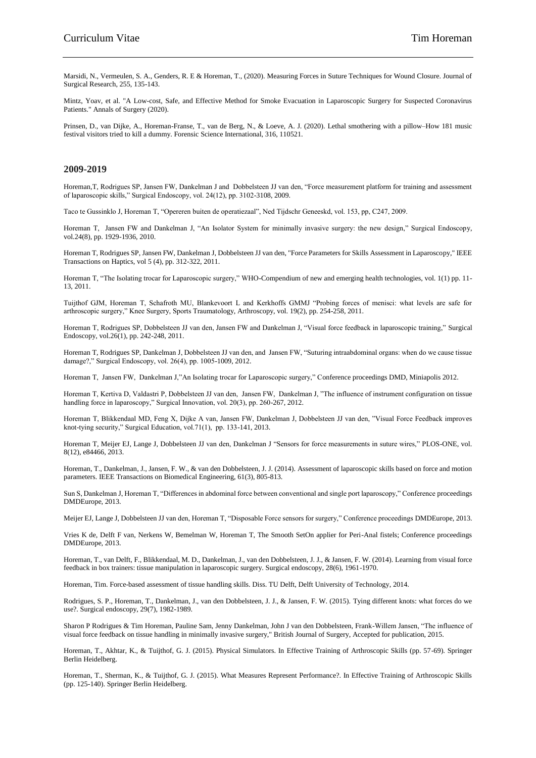Marsidi, N., Vermeulen, S. A., Genders, R. E & Horeman, T., (2020). Measuring Forces in Suture Techniques for Wound Closure. Journal of Surgical Research, 255, 135-143.

Mintz, Yoav, et al. "A Low-cost, Safe, and Effective Method for Smoke Evacuation in Laparoscopic Surgery for Suspected Coronavirus Patients." Annals of Surgery (2020).

Prinsen, D., van Dijke, A., Horeman-Franse, T., van de Berg, N., & Loeve, A. J. (2020). Lethal smothering with a pillow–How 181 music festival visitors tried to kill a dummy. Forensic Science International, 316, 110521.

#### **2009-2019**

Horeman,T, Rodrigues SP, Jansen FW, Dankelman J and Dobbelsteen JJ van den, "Force measurement platform for training and assessment of laparoscopic skills," Surgical Endoscopy, vol. 24(12), pp. 3102-3108, 2009.

Taco te Gussinklo J, Horeman T, "Opereren buiten de operatiezaal", Ned Tijdschr Geneeskd, vol. 153, pp, C247, 2009.

Horeman T, Jansen FW and Dankelman J, "An Isolator System for minimally invasive surgery: the new design," Surgical Endoscopy, vol.24(8), pp. 1929-1936, 2010.

Horeman T, Rodrigues SP, Jansen FW, Dankelman J, Dobbelsteen JJ van den, "Force Parameters for Skills Assessment in Laparoscopy," IEEE Transactions on Haptics, vol 5 (4), pp. 312-322, 2011.

Horeman T, "The Isolating trocar for Laparoscopic surgery," WHO-Compendium of new and emerging health technologies, vol. 1(1) pp. 11- 13, 2011.

Tuijthof GJM, Horeman T, Schafroth MU, Blankevoort L and Kerkhoffs GMMJ "Probing forces of menisci: what levels are safe for arthroscopic surgery," Knee Surgery, Sports Traumatology, Arthroscopy, vol. 19(2), pp. 254-258, 2011.

Horeman T, Rodrigues SP, Dobbelsteen JJ van den, Jansen FW and Dankelman J, "Visual force feedback in laparoscopic training," Surgical Endoscopy, vol.26(1), pp. 242-248, 2011.

Horeman T, Rodrigues SP, Dankelman J, Dobbelsteen JJ van den, and Jansen FW, "Suturing intraabdominal organs: when do we cause tissue damage?," Surgical Endoscopy, vol. 26(4), pp. 1005-1009, 2012.

Horeman T, Jansen FW, Dankelman J,"An Isolating trocar for Laparoscopic surgery," Conference proceedings DMD, Miniapolis 2012.

Horeman T, Kertiva D, Valdastri P, Dobbelsteen JJ van den, Jansen FW, Dankelman J, "The influence of instrument configuration on tissue handling force in laparoscopy," Surgical Innovation, vol. 20(3), pp. 260-267, 2012.

Horeman T, Blikkendaal MD, Feng X, Dijke A van, Jansen FW, Dankelman J, Dobbelsteen JJ van den, "Visual Force Feedback improves knot-tying security," Surgical Education, vol.71(1), pp. 133-141, 2013.

Horeman T, Meijer EJ, Lange J, Dobbelsteen JJ van den, Dankelman J "Sensors for force measurements in suture wires," PLOS-ONE, vol. 8(12), e84466, 2013.

Horeman, T., Dankelman, J., Jansen, F. W., & van den Dobbelsteen, J. J. (2014). Assessment of laparoscopic skills based on force and motion parameters. IEEE Transactions on Biomedical Engineering, 61(3), 805-813.

Sun S, Dankelman J, Horeman T, "Differences in abdominal force between conventional and single port laparoscopy," Conference proceedings DMDEurope, 2013.

Meijer EJ, Lange J, Dobbelsteen JJ van den, Horeman T, "Disposable Force sensors for surgery," Conference proceedings DMDEurope, 2013.

Vries K de, Delft F van, Nerkens W, Bemelman W, Horeman T, The Smooth SetOn applier for Peri-Anal fistels; Conference proceedings DMDEurope, 2013.

Horeman, T., van Delft, F., Blikkendaal, M. D., Dankelman, J., van den Dobbelsteen, J. J., & Jansen, F. W. (2014). Learning from visual force feedback in box trainers: tissue manipulation in laparoscopic surgery. Surgical endoscopy, 28(6), 1961-1970.

Horeman, Tim. Force-based assessment of tissue handling skills. Diss. TU Delft, Delft University of Technology, 2014.

Rodrigues, S. P., Horeman, T., Dankelman, J., van den Dobbelsteen, J. J., & Jansen, F. W. (2015). Tying different knots: what forces do we use?. Surgical endoscopy, 29(7), 1982-1989.

Sharon P Rodrigues & Tim Horeman, Pauline Sam, Jenny Dankelman, John J van den Dobbelsteen, Frank-Willem Jansen, "The influence of visual force feedback on tissue handling in minimally invasive surgery," British Journal of Surgery, Accepted for publication, 2015.

Horeman, T., Akhtar, K., & Tuijthof, G. J. (2015). Physical Simulators. In Effective Training of Arthroscopic Skills (pp. 57-69). Springer Berlin Heidelberg.

Horeman, T., Sherman, K., & Tuijthof, G. J. (2015). What Measures Represent Performance?. In Effective Training of Arthroscopic Skills (pp. 125-140). Springer Berlin Heidelberg.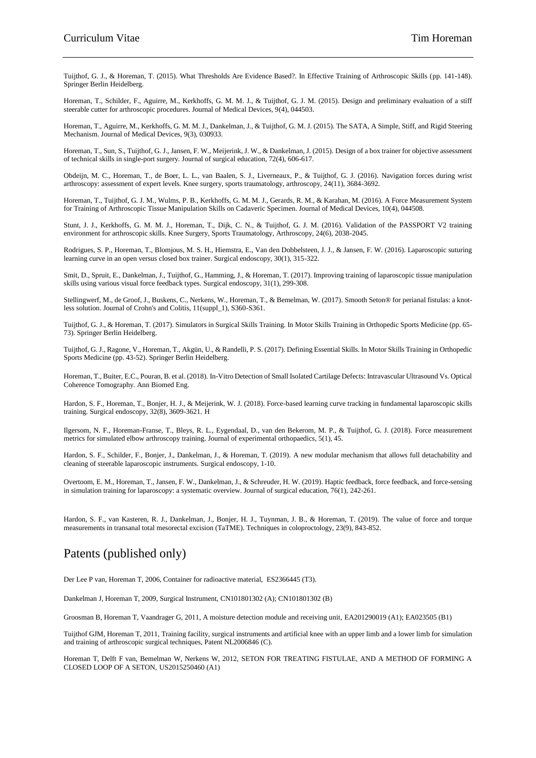Tuijthof, G. J., & Horeman, T. (2015). What Thresholds Are Evidence Based?. In Effective Training of Arthroscopic Skills (pp. 141-148). Springer Berlin Heidelberg.

Horeman, T., Schilder, F., Aguirre, M., Kerkhoffs, G. M. M. J., & Tuijthof, G. J. M. (2015). Design and preliminary evaluation of a stiff steerable cutter for arthroscopic procedures. Journal of Medical Devices, 9(4), 044503.

Horeman, T., Aguirre, M., Kerkhoffs, G. M. M. J., Dankelman, J., & Tuijthof, G. M. J. (2015). The SATA, A Simple, Stiff, and Rigid Steering Mechanism. Journal of Medical Devices, 9(3), 030933.

Horeman, T., Sun, S., Tuijthof, G. J., Jansen, F. W., Meijerink, J. W., & Dankelman, J. (2015). Design of a box trainer for objective assessment of technical skills in single-port surgery. Journal of surgical education, 72(4), 606-617.

Obdeijn, M. C., Horeman, T., de Boer, L. L., van Baalen, S. J., Liverneaux, P., & Tuijthof, G. J. (2016). Navigation forces during wrist arthroscopy: assessment of expert levels. Knee surgery, sports traumatology, arthroscopy, 24(11), 3684-3692.

Horeman, T., Tuijthof, G. J. M., Wulms, P. B., Kerkhoffs, G. M. M. J., Gerards, R. M., & Karahan, M. (2016). A Force Measurement System for Training of Arthroscopic Tissue Manipulation Skills on Cadaveric Specimen. Journal of Medical Devices, 10(4), 044508.

Stunt, J. J., Kerkhoffs, G. M. M. J., Horeman, T., Dijk, C. N., & Tuijthof, G. J. M. (2016). Validation of the PASSPORT V2 training environment for arthroscopic skills. Knee Surgery, Sports Traumatology, Arthroscopy, 24(6), 2038-2045.

Rodrigues, S. P., Horeman, T., Blomjous, M. S. H., Hiemstra, E., Van den Dobbelsteen, J. J., & Jansen, F. W. (2016). Laparoscopic suturing learning curve in an open versus closed box trainer. Surgical endoscopy, 30(1), 315-322.

Smit, D., Spruit, E., Dankelman, J., Tuijthof, G., Hamming, J., & Horeman, T. (2017). Improving training of laparoscopic tissue manipulation skills using various visual force feedback types. Surgical endoscopy, 31(1), 299-308.

Stellingwerf, M., de Groof, J., Buskens, C., Nerkens, W., Horeman, T., & Bemelman, W. (2017). Smooth Seton® for perianal fistulas: a knotless solution. Journal of Crohn's and Colitis, 11(suppl\_1), S360-S361.

Tuijthof, G. J., & Horeman, T. (2017). Simulators in Surgical Skills Training. In Motor Skills Training in Orthopedic Sports Medicine (pp. 65- 73). Springer Berlin Heidelberg.

Tuijthof, G. J., Ragone, V., Horeman, T., Akgün, U., & Randelli, P. S. (2017). Defining Essential Skills. In Motor Skills Training in Orthopedic Sports Medicine (pp. 43-52). Springer Berlin Heidelberg.

Horeman, T., Buiter, E.C., Pouran, B. et al. (2018). In-Vitro Detection of Small Isolated Cartilage Defects: Intravascular Ultrasound Vs. Optical Coherence Tomography. Ann Biomed Eng.

Hardon, S. F., Horeman, T., Bonjer, H. J., & Meijerink, W. J. (2018). Force-based learning curve tracking in fundamental laparoscopic skills training. Surgical endoscopy,  $32(8)$ ,  $3609-3621$ . H

Ilgersom, N. F., Horeman-Franse, T., Bleys, R. L., Eygendaal, D., van den Bekerom, M. P., & Tuijthof, G. J. (2018). Force measurement metrics for simulated elbow arthroscopy training. Journal of experimental orthopaedics, 5(1), 45.

Hardon, S. F., Schilder, F., Bonjer, J., Dankelman, J., & Horeman, T. (2019). A new modular mechanism that allows full detachability and cleaning of steerable laparoscopic instruments. Surgical endoscopy, 1-10.

Overtoom, E. M., Horeman, T., Jansen, F. W., Dankelman, J., & Schreuder, H. W. (2019). Haptic feedback, force feedback, and force-sensing in simulation training for laparoscopy: a systematic overview. Journal of surgical education,  $\overline{76(1)}$ , 242-261.

Hardon, S. F., van Kasteren, R. J., Dankelman, J., Bonjer, H. J., Tuynman, J. B., & Horeman, T. (2019). The value of force and torque measurements in transanal total mesorectal excision (TaTME). Techniques in coloproctology, 23(9), 843-852.

## Patents (published only)

Der Lee P van, Horeman T, 2006, Container for radioactive material, ES2366445 (T3).

Dankelman J, Horeman T, 2009, Surgical Instrument, CN101801302 (A); CN101801302 (B)

Groosman B, Horeman T, Vaandrager G, 2011, A moisture detection module and receiving unit, EA201290019 (A1); EA023505 (B1)

Tuijthof GJM, Horeman T, 2011, Training facility, surgical instruments and artificial knee with an upper limb and a lower limb for simulation and training of arthroscopic surgical techniques, Patent NL2006846 (C).

Horeman T, Delft F van, Bemelman W, Nerkens W, 2012, SETON FOR TREATING FISTULAE, AND A METHOD OF FORMING A CLOSED LOOP OF A SETON, US2015250460 (A1)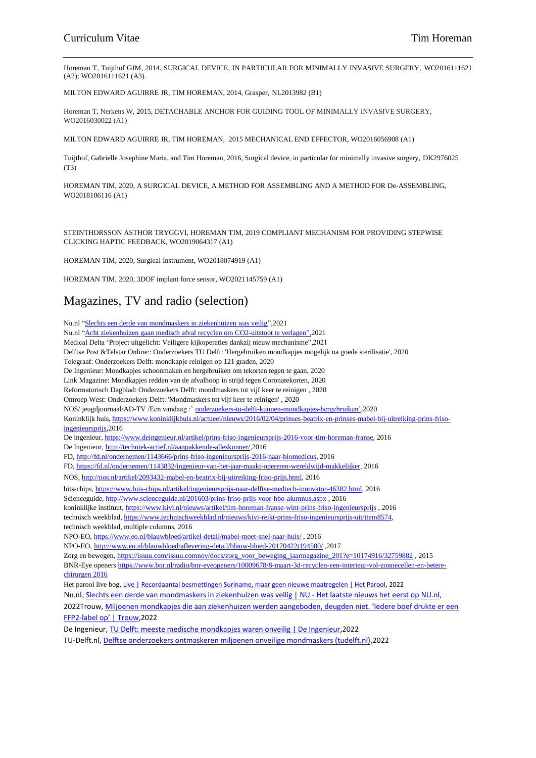Horeman T, Tuijthof GJM, 2014, SURGICAL DEVICE, IN PARTICULAR FOR MINIMALLY INVASIVE SURGERY, WO2016111621 (A2); WO2016111621 (A3).

MILTON EDWARD AGUIRRE JR, TIM HOREMAN, 2014, Grasper, NL2013982 (B1)

Horeman T, Nerkens W, 2015, DETACHABLE ANCHOR FOR GUIDING TOOL OF MINIMALLY INVASIVE SURGERY, WO2016030022 (A1)

MILTON EDWARD AGUIRRE JR, TIM HOREMAN, 2015 MECHANICAL END EFFECTOR, WO2016056908 (A1)

Tuijthof, Gabrielle Josephine Maria, and Tim Horeman, 2016, Surgical device, in particular for minimally invasive surgery, DK2976025 (T3)

HOREMAN TIM, 2020, A SURGICAL DEVICE, A METHOD FOR ASSEMBLING AND A METHOD FOR De-ASSEMBLING, WO2018106116 (A1)

STEINTHORSSON ASTHOR TRYGGVI, HOREMAN TIM, 2019 COMPLIANT MECHANISM FOR PROVIDING STEPWISE CLICKING HAPTIC FEEDBACK, WO2019064317 (A1)

HOREMAN TIM, 2020, Surgical Instrument, WO2018074919 (A1)

HOREMAN TIM, 2020, 3DOF implant force sensor, WO2021145759 (A1)

## Magazines, TV and radio (selection)

Nu.nl ["Slechts een derde van mondmaskers in ziekenhuizen was veilig"](https://www.nu.nl/binnenland/6157398/slechts-een-derde-van-mondmaskers-in-ziekenhuizen-was-veilig.html),2021 Nu.nl ["Acht ziekenhuizen gaan medisch afval recyclen om CO2-uitstoot te verlagen",2](https://www.nu.nl/algemeen/6159036/acht-ziekenhuizen-gaan-medisch-afval-recyclen-om-co2-uitstoot-te-verlagen.html)021 Medical Delta 'Project uitgelicht: Veiligere kijkoperaties dankzij nieuw mechanisme",2021 Delftse Post &Telstar Online:: Onderzoekers TU Delft: 'Hergebruiken mondkapjes mogelijk na goede sterilisatie', 2020 Telegraaf: Onderzoekers Delft: mondkapje reinigen op 121 graden, 2020 De Ingenieur: Mondkapjes schoonmaken en hergebruiken om tekorten tegen te gaan, 2020 Link Magazine: Mondkapjes redden van de afvalhoop in strijd tegen Coronatekorten, 2020 Reformatorisch Dagblad: Onderzoekers Delft: mondmaskers tot vijf keer te reinigen , 2020 Omroep West: Onderzoekers Delft: 'Mondmaskers tot vijf keer te reinigen' , 2020 NOS/ jeugdjournaal/AD-TV /Een vandaag :' [onderzoekers-tu-delft-kunnen-mondkapjes-hergebruiken',2](https://www.ad.nl/video/kanalen/nederlands-nieuws~c400/series/korte-reportage~s908/onderzoekers-tu-delft-kunnen-mondkapjes-hergebruiken~p138929)020 Koninklijk huis, [https://www.koninklijkhuis.nl/actueel/nieuws/2016/02/04/prinses-beatrix-en-prinses-mabel-bij-uitreiking-prins-friso](https://www.koninklijkhuis.nl/actueel/nieuws/2016/02/04/prinses-beatrix-en-prinses-mabel-bij-uitreiking-prins-friso-ingenieursprijs)[ingenieursprijs,2](https://www.koninklijkhuis.nl/actueel/nieuws/2016/02/04/prinses-beatrix-en-prinses-mabel-bij-uitreiking-prins-friso-ingenieursprijs)016 De ingenieur[, https://www.deingenieur.nl/artikel/prins-friso-ingenieursprijs-2016-voor-tim-horeman-franse,](https://www.deingenieur.nl/artikel/prins-friso-ingenieursprijs-2016-voor-tim-horeman-franse) 2016 De Ingenieur, [http://techniek-actief.nl/aanpakkende-alleskunner/,](http://techniek-actief.nl/aanpakkende-alleskunner/)2016 FD, [http://fd.nl/ondernemen/1143666/prins-friso-ingenieursprijs-2016-naar-biomedicus,](http://fd.nl/ondernemen/1143666/prins-friso-ingenieursprijs-2016-naar-biomedicus) 2016 FD, [https://fd.nl/ondernemen/1143832/ingenieur-van-het-jaar-maakt-opereren-wereldwijd-makkelijker,](https://fd.nl/ondernemen/1143832/ingenieur-van-het-jaar-maakt-opereren-wereldwijd-makkelijker) 2016 NOS, [http://nos.nl/artikel/2093432-mabel-en-beatrix-bij-uitreiking-friso-prijs.html,](http://nos.nl/artikel/2093432-mabel-en-beatrix-bij-uitreiking-friso-prijs.html) 2016 bits-chips[, https://www.bits-chips.nl/artikel/ingenieursprijs-naar-delftse-medtech-innovator-46382.html,](https://www.bits-chips.nl/artikel/ingenieursprijs-naar-delftse-medtech-innovator-46382.html) 2016 Scienceguide, <http://www.scienceguide.nl/201603/prins-friso-prijs-voor-hbo-alumnus.aspx> , 2016 koninklijke instituut[, https://www.kivi.nl/nieuws/artikel/tim-horeman-franse-wint-prins-friso-ingenieursprijs](https://www.kivi.nl/nieuws/artikel/tim-horeman-franse-wint-prins-friso-ingenieursprijs) , 2016 technisch weekblad[, https://www.technischweekblad.nl/nieuws/kivi-reikt-prins-friso-ingenieursprijs-uit/item8574,](https://www.technischweekblad.nl/nieuws/kivi-reikt-prins-friso-ingenieursprijs-uit/item8574) technisch weekblad, multiple columns, 2016 NPO-EO[, https://www.eo.nl/blauwbloed/artikel-detail/mabel-moet-snel-naar-huis/](https://www.eo.nl/blauwbloed/artikel-detail/mabel-moet-snel-naar-huis/) , 2016 NPO-EO, <http://www.eo.nl/blauwbloed/aflevering-detail/blauw-bloed-20170422t194500/> ,2017 Zorg en bewegen, [https://issuu.com/issuu.comnov/docs/zorg\\_voor\\_beweging\\_jaarmagazine\\_201?e=10174916/32759882](https://issuu.com/issuu.comnov/docs/zorg_voor_beweging_jaarmagazine_201?e=10174916/32759882) , 2015 BNR-Eye opener[s https://www.bnr.nl/radio/bnr-eyeopeners/10009678/8-maart-3d-recyclen-een-interieur-vol-zonnecellen-en-betere](https://www.bnr.nl/radio/bnr-eyeopeners/10009678/8-maart-3d-recyclen-een-interieur-vol-zonnecellen-en-betere-chirurgen%202016)[chirurgen 2016](https://www.bnr.nl/radio/bnr-eyeopeners/10009678/8-maart-3d-recyclen-een-interieur-vol-zonnecellen-en-betere-chirurgen%202016) Het parool live bog, [Live | Recordaantal besmettingen Suriname, maar geen nieuwe maatregelen | Het Parool,](https://www.parool.nl/nederland/live-recordaantal-besmettingen-suriname-maar-geen-nieuwe-maatregelen~b3b600d5/) 2022 Nu.nl, [Slechts een derde van mondmaskers in ziekenhuizen was veilig | NU -](https://www.nu.nl/binnenland/6157398/slechts-een-derde-van-mondmaskers-in-ziekenhuizen-was-veilig.html) Het laatste nieuws het eerst op NU.nl, 2022Trouw, [Miljoenen mondkapjes die aan ziekenhuizen werden aangeboden, deugden niet. 'Iedere boef drukte er een](https://www.trouw.nl/zorg/miljoenen-mondkapjes-die-aan-ziekenhuizen-werden-aangeboden-deugden-niet-iedere-boef-drukte-er-een-ffp2-label-op~b34813e2/)  FFP2-label [op' | Trouw](https://www.trouw.nl/zorg/miljoenen-mondkapjes-die-aan-ziekenhuizen-werden-aangeboden-deugden-niet-iedere-boef-drukte-er-een-ffp2-label-op~b34813e2/),2022 De Ingenieur, [TU Delft: meeste medische mondkapjes waren onveilig | De Ingenieur,](https://www.deingenieur.nl/artikel/tu-delft-meeste-medische-mondkapjes-waren-onveilig)2022 TU-Delft.nl, [Delftse onderzoekers ontmaskeren miljoenen onveilige mondmaskers \(tudelft.nl\),2](https://www.tudelft.nl/2021/3me/september/delftse-onderzoekers-ontmaskeren-miljoenen-onveilige-mondmaskers)022